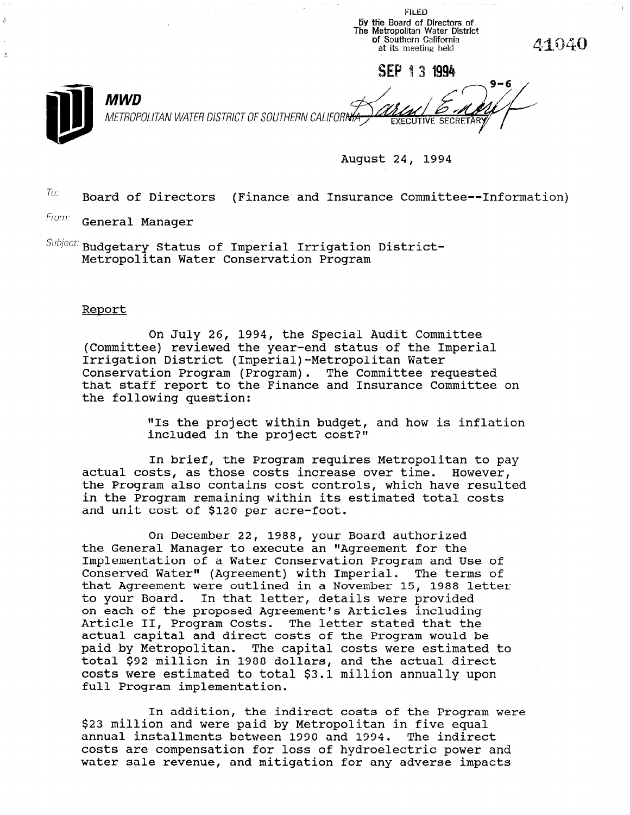py the Board of Directors of<br>The Metropolitan Water Distric 'of Southern California 41040 at its meeting held SEP 131994 **MWD** METROPOLITAN WATER DISTRICT OF SOUTHERN CALIFORNIA **EXECUT** 

August 24, 1994

**FILED** 

 $T_{0}$ : Board of Directors (Finance and Insurance Committee--Information)

From: General Manager

k,

 $\textit{Subject:}$  Budgetary Status of Imperial Irrigation District-Metropolitan Water Conservation Program

## Report

On July 26, 1994, the Special Audit Committee (Committee) reviewed the year-end status of the Imperial Irrigation District (Imperial)-Metropolitan Water Conservation Program (Program). The Committee requested that staff report to the Finance and Insurance Committee on the following question:

> "Is the project within budget, and how is inflation included in the project cost?"

In brief, the Program requires Metropolitan to pay actual costs, as those costs increase over time. However, the Program also contains cost controls, which have resulted in the Program remaining within its estimated total costs and unit cost of \$120 per acre-foot.

On December 22, 1988, your Board authorized the General Manager to execute an "Agreement for the Implementation of a Water Conservation Program and Use of Conserved Water" (Ag reement) with Imperial. The terms of that Agreement were outlined in a November 15, 1988 letter to your Board. In that latter, details were provided to on each of the proposed Agreement's Articles including Article II, Program Costs. The letter stated that the Article II, Program Costs. The letter stated that the paid by Metropolitan. The capital paid by metiopolitan. The Capital Costs were estimated cocal 922 million in 1966 dollars, and the actual direct costs were estimated to total \$3.1 million annually upon<br>full Program implementation. ter stated that the<br>the Discussion would be che riogiam would be

 $I_n$  addition, the indirect costs of the Program were  $P$ In addition, the indirect costs of the Program<br>Assamilian in five and we have extra in five extensions of the state of the state of the state of the state of \$23 million and were paid by Metropolitan in five equal annual installments between 1990 and 1994. The indirect costs are compensation for loss of hydroelectric power and water sale revenue, and mitigation for any adverse impacts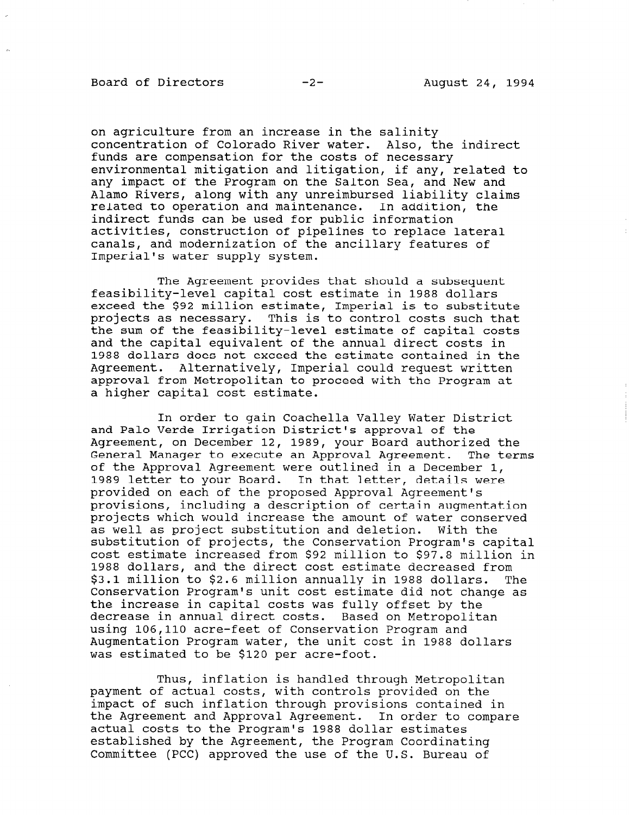on agriculture from an increase in the salinity concentration of Colorado River water. Also, the indirect funds are compensation for the costs of necessary environmental mitigation and litigation, if any, related to any impact of the Program on the Salton Sea, and New and Alamo Rivers, along with any unreimbursed liability claims related to operation and maintenance. In addition, the indirect funds can be used for public information activities, construction of pipelines to replace lateral canals, and modernization of the ancillary features of Imperial's water supply system.

The Agreement provides that should a subsequent feasibility-level capital cost estimate in 1988 dollars exceed the \$92 million estimate, Imperial is to substitute projects as necessary. This is to control costs such that the sum of the feasibility-level estimate of capital costs and the capital equivalent of the annual direct costs in 1988 dollars does not exceed the estimate contained in the Agreement. Alternatively, Imperial could request written approval from Metropolitan to proceed with the Program at a higher capital cost estimate.

In order to gain Coachella Valley Water District and Palo Verde Irrigation District's approval of the Agreement, on December 12, 1989, your Board authorized the General Manager to execute an Approval Agreement. The terms of the Approval Agreement were outlined in a December 1, 1989 letter to your Board. In that letter, details were provided on each of the proposed Approval Agreement's provisions, including a description of certain augmentation projects which would increase the amount of water conserved as well as project substitution and deletion. With the substitution of projects, the Conservation Program's capital cost estimate increased from \$92 million to \$97.8 million in 1988 dollars, and the direct cost estimate decreased from \$3.1 million to \$2.6 million annually in 1988 dollars. The Conservation Program's unit cost estimate did not change as the increase in capital costs was fully offset by the decrease in annual direct costs. Based on Metropolitan using 106,110 acre-feet of Conservation Program and Augmentation Program water, the unit cost in 1988 dollars Augmentation riogiam water, the uni

Thus, inflation is handled through Metropolitan payment of actual costs, with controls provided on the controls provided on the control of the controls provided on the control of the control of the control of the control of the control of the control of the control of t payment of such interests, with controls provided on the impact of such inflation through provisions contained in the Agreement and Approval Agreement. In order to compare actual costs to the Program's 1988 dollar estimates established by the Agreement, the Program Coordinating<br>Committee (PCC) approved the use of the U.S. Bureau of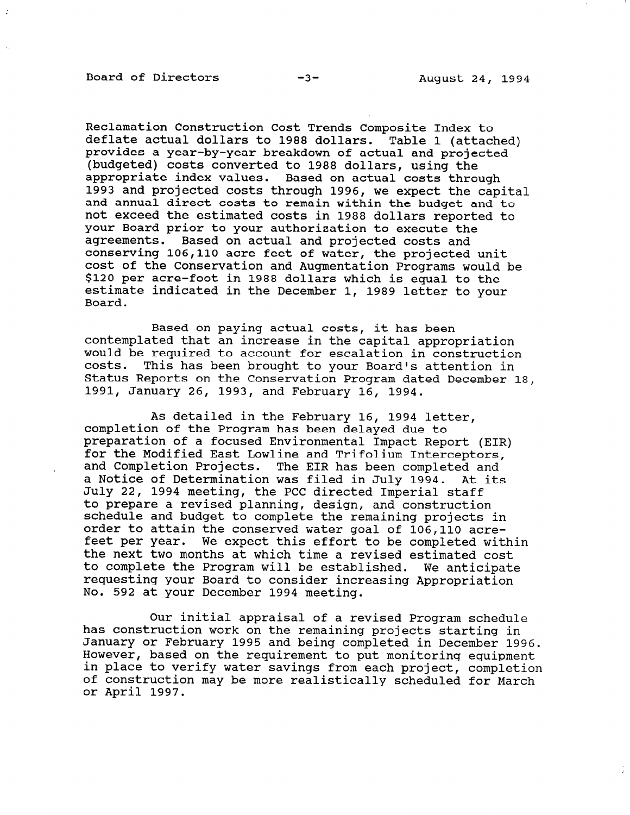Reclamation Construction Cost Trends Composite Index to deflate actual dollars to 1988 dollars. Table 1 (attached) provides a year-by-year breakdown of actual and projected (budgeted) costs converted to 1988 dollars, using the appropriate index values. Based on actual costs through 1993 and projected costs through 1996, we expect the capital and annual direct costs to remain within the budget and to not exceed the estimated costs in 1988 dollars reported to your Board prior to your authorization to execute the agreements. Based on actual and projected costs and conserving 106,110 acre feet of water, the projected unit cost of the Conservation and Augmentation Programs would be \$120 per acre-foot in 1988 dollars which is equal to the estimate indicated in the December 1, 1989 letter to your Board.

Based on paying actual costs, it has been contemplated that an increase in the capital appropriation would be required to account for escalation in construction costs. This has been brought to your Board's attention in Status Reports on the Conservation Program dated December 18, 1991, January 26, 1993, and February 16, 1994.

As detailed in the February 16, 1994 letter, completion of the Program has been delayed due to preparation of a focused Environmental Impact Report (EIR) for the Modified East Lowline and Trifolium Interceptors, and Completion Projects. The EIR has been completed and a Notice of Determination was filed in July 1994. At its July 22, 1994 meeting, the PCC directed Imperial staff to prepare a revised planning, design, and construction co prepare a revised planning, design, and construction schedule and budget to complete the remaining projects is order to attain the conserved water goal of 106,110 acre-<br>feet per year. We expect this effort to be completed within the next two months at which time a revised estimated cost to complete the Program will be established. We anticipate requesting your Board to consider increasing Appropriation No. 592 at your December 1994 meeting.

Our initial appraisal of a revised Program schedule our initial appraisal of a revised Program schedul<br>has construction work has construction work on the remaining projects starting in January or February 1995 and being completed in December 1996.<br>However, based on the requirement to put monitoring equipment nowever, pased on the requirement to put monitoring equipment in place to verily water savings from each project, completion of construction may be more realistically scheduled for March or April 1997.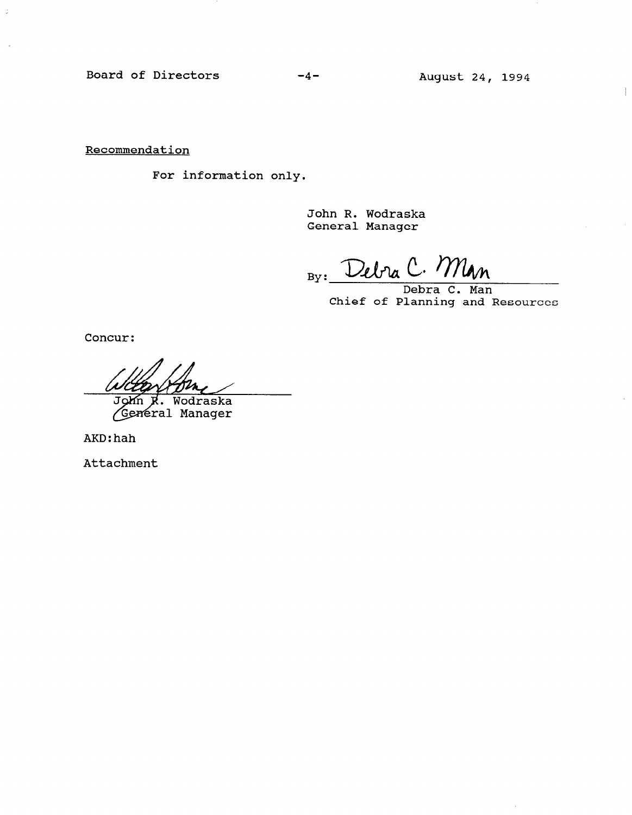Board of Directors -4- August 24, 1994

**Recommendation** 

For information only.

John R. Wodraska General Manager

By: Debra C. Min

Chief of Planning and Resources

Concur:

John R. Wodraska<br>General Manager John

AKD:hah

Attachment